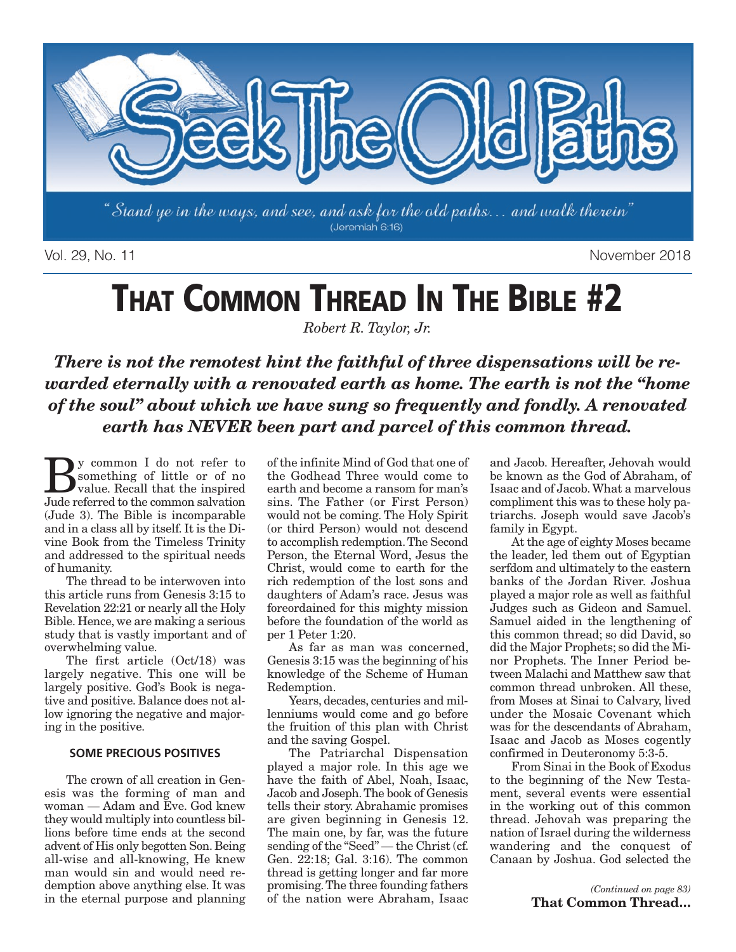

Vol. 29, No. 11 November 2018

# **THAT COMMON THREAD IN THE BIBLE #2**

*Robert R. Taylor, Jr.*

*There is not the remotest hint the faithful of three dispensations will be rewarded eternally with a renovated earth as home. The earth is not the "home of the soul" about which we have sung so frequently and fondly. A renovated earth has NEVER been part and parcel of this common thread.*

**B**y common I do not refer to<br>something of little or of no<br>value. Recall that the inspired<br>lude referred to the common saluation something of little or of no value. Recall that the inspired Jude referred to the common salvation (Jude 3). The Bible is incomparable and in a class all by itself. It is the Divine Book from the Timeless Trinity and addressed to the spiritual needs of humanity.

The thread to be interwoven into this article runs from Genesis 3:15 to Revelation 22:21 or nearly all the Holy Bible. Hence, we are making a serious study that is vastly important and of overwhelming value.

The first article (Oct/18) was largely negative. This one will be largely positive. God's Book is negative and positive. Balance does not allow ignoring the negative and majoring in the positive.

#### **SOME PRECIOUS POSITIVES**

The crown of all creation in Genesis was the forming of man and woman — Adam and Eve. God knew they would multiply into countless billions before time ends at the second advent of His only begotten Son. Being all-wise and all-knowing, He knew man would sin and would need redemption above anything else. It was in the eternal purpose and planning of the infinite Mind of God that one of the Godhead Three would come to earth and become a ransom for man's sins. The Father (or First Person) would not be coming. The Holy Spirit (or third Person) would not descend to accomplish redemption. The Second Person, the Eternal Word, Jesus the Christ, would come to earth for the rich redemption of the lost sons and daughters of Adam's race. Jesus was foreordained for this mighty mission before the foundation of the world as per 1 Peter 1:20.

As far as man was concerned, Genesis 3:15 was the beginning of his knowledge of the Scheme of Human Redemption.

Years, decades, centuries and millenniums would come and go before the fruition of this plan with Christ and the saving Gospel.

The Patriarchal Dispensation played a major role. In this age we have the faith of Abel, Noah, Isaac, Jacob and Joseph. The book of Genesis tells their story. Abrahamic promises are given beginning in Genesis 12. The main one, by far, was the future sending of the "Seed" — the Christ (cf. Gen. 22:18; Gal. 3:16). The common thread is getting longer and far more promising. The three founding fathers of the nation were Abraham, Isaac

and Jacob. Hereafter, Jehovah would be known as the God of Abraham, of Isaac and of Jacob. What a marvelous compliment this was to these holy patriarchs. Joseph would save Jacob's family in Egypt.

At the age of eighty Moses became the leader, led them out of Egyptian serfdom and ultimately to the eastern banks of the Jordan River. Joshua played a major role as well as faithful Judges such as Gideon and Samuel. Samuel aided in the lengthening of this common thread; so did David, so did the Major Prophets; so did the Minor Prophets. The Inner Period between Malachi and Matthew saw that common thread unbroken. All these, from Moses at Sinai to Calvary, lived under the Mosaic Covenant which was for the descendants of Abraham, Isaac and Jacob as Moses cogently confirmed in Deuteronomy 5:3-5.

From Sinai in the Book of Exodus to the beginning of the New Testament, several events were essential in the working out of this common thread. Jehovah was preparing the nation of Israel during the wilderness wandering and the conquest of Canaan by Joshua. God selected the

> *(Continued on page 83)* **That Common Thread…**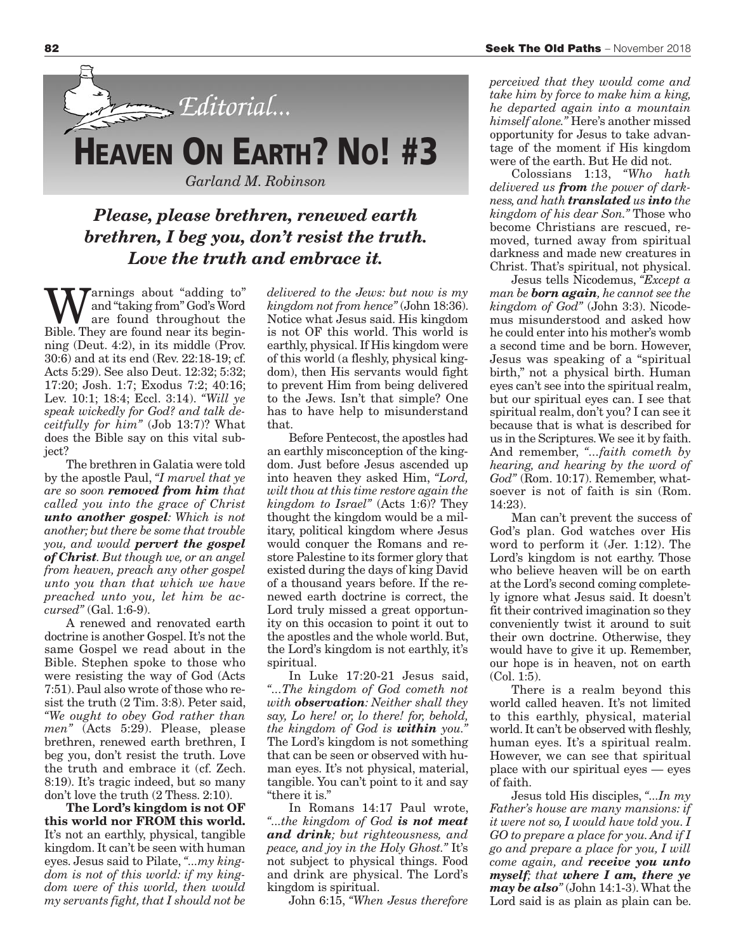

### *Please, please brethren, renewed earth brethren, I beg you, don't resist the truth. Love the truth and embrace it.*

arnings about "adding to" and "taking from" God's Word are found throughout the Bible. They are found near its beginning (Deut. 4:2), in its middle (Prov. 30:6) and at its end (Rev. 22:18-19; cf. Acts 5:29). See also Deut. 12:32; 5:32; 17:20; Josh. 1:7; Exodus 7:2; 40:16; Lev. 10:1; 18:4; Eccl. 3:14). *"Will ye speak wickedly for God? and talk deceitfully for him"* (Job 13:7)? What does the Bible say on this vital subject?

The brethren in Galatia were told by the apostle Paul, *"I marvel that ye are so soon removed from him that called you into the grace of Christ unto another gospel: Which is not another; but there be some that trouble you, and would pervert the gospel of Christ. But though we, or an angel from heaven, preach any other gospel unto you than that which we have preached unto you, let him be accursed"* (Gal. 1:6-9).

A renewed and renovated earth doctrine is another Gospel. It's not the same Gospel we read about in the Bible. Stephen spoke to those who were resisting the way of God (Acts 7:51). Paul also wrote of those who resist the truth (2 Tim. 3:8). Peter said, *"We ought to obey God rather than men"* (Acts 5:29). Please, please brethren, renewed earth brethren, I beg you, don't resist the truth. Love the truth and embrace it (cf. Zech. 8:19). It's tragic indeed, but so many don't love the truth (2 Thess. 2:10).

**The Lord's kingdom is not OF this world nor FROM this world.** It's not an earthly, physical, tangible kingdom. It can't be seen with human eyes. Jesus said to Pilate, *"...my king dom is not of this world: if my kingdom were of this world, then would my servants fight, that I should not be* *delivered to the Jews: but now is my kingdom not from hence"* (John 18:36). Notice what Jesus said. His kingdom is not OF this world. This world is earthly, physical. If His kingdom were of this world (a fleshly, physical kingdom), then His servants would fight to prevent Him from being delivered to the Jews. Isn't that simple? One has to have help to misunderstand that.

Before Pentecost, the apostles had an earthly misconception of the kingdom. Just before Jesus ascended up into heaven they asked Him, *"Lord, wilt thou at this time restore again the kingdom to Israel"* (Acts 1:6)? They thought the kingdom would be a military, political kingdom where Jesus would conquer the Romans and restore Palestine to its former glory that existed during the days of king David of a thousand years before. If the renewed earth doctrine is correct, the Lord truly missed a great opportunity on this occasion to point it out to the apostles and the whole world. But, the Lord's kingdom is not earthly, it's spiritual.

In Luke 17:20-21 Jesus said, *"...The kingdom of God cometh not with observation: Neither shall they say, Lo here! or, lo there! for, behold, the kingdom of God is within you."* The Lord's kingdom is not something that can be seen or observed with human eyes. It's not physical, material, tangible. You can't point to it and say "there it is."

In Romans 14:17 Paul wrote, *"...the king dom of God is not meat and drink; but righteousness, and peace, and joy in the Holy Ghost."* It's not subject to physical things. Food and drink are physical. The Lord's kingdom is spiritual.

John 6:15, *"When Jesus therefore*

*perceived that they would come and take him by force to make him a king, he departed again into a mountain him self alone."* Here's another missed opportunity for Jesus to take advantage of the moment if His kingdom were of the earth. But He did not.

Colossians 1:13, *"Who hath deliver ed us from the power of darkness, and hath translated us into the kingdom of his dear Son."* Those who become Christians are rescued, removed, turned away from spiritual darkness and made new creatures in Christ. That's spiritual, not physical.

Jesus tells Nicodemus, *"Except a man be born again, he cannot see the kingdom of God"* (John 3:3). Nicodemus misunder stood and asked how he could enter into his mother's womb a second time and be born. However, Jesus was speaking of a "spiritual birth," not a physical birth. Human eyes can't see into the spiritual realm, but our spiritual eyes can. I see that spiritual realm, don't you? I can see it because that is what is described for us in the Scriptures. We see it by faith. And remember, *"...faith cometh by hearing, and hearing by the word of God"* (Rom. 10:17). Remember, whatsoever is not of faith is sin (Rom. 14:23).

Man can't prevent the success of God's plan. God watches over His word to perform it (Jer. 1:12). The Lord's kingdom is not earthy. Those who believe heaven will be on earth at the Lord's second coming completely ignore what Jesus said. It doesn't fit their contrived imagination so they conveniently twist it around to suit their own doctrine. Otherwise, they would have to give it up. Remember, our hope is in heaven, not on earth (Col. 1:5).

There is a realm beyond this world called heaven. It's not limited to this earthly, physical, material world. It can't be observed with fleshly, human eyes. It's a spiritual realm. However, we can see that spiritual place with our spiritual eyes — eyes of faith.

Jesus told His disciples, *"...In my Father's house are many mansions: if it were not so, I would have told you. I GO to prepare a place for you. And if I go and prepare a place for you, I will come again, and receive you unto myself; that where I am, there ye may be also"* (John 14:1-3). What the Lord said is as plain as plain can be.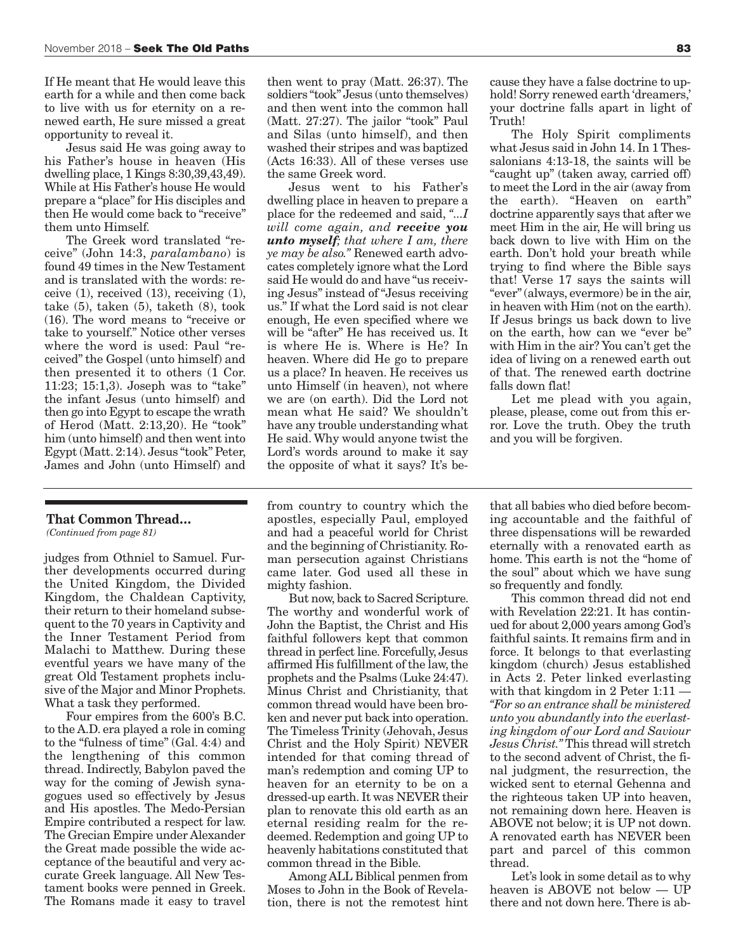If He meant that He would leave this earth for a while and then come back to live with us for eternity on a renewed earth, He sure missed a great opportunity to reveal it.

Jesus said He was going away to his Father's house in heaven (His dwelling place,  $1$  Kings  $8:30.39.43.49$ ). While at His Father's house He would prepare a "place" for His disciples and then He would come back to "receive" them unto Himself.

The Greek word translated "receive" (John 14:3, *paralambano*) is found 49 times in the New Testament and is translated with the words: receive (1), received (13), receiving (1), take (5), taken (5), taketh (8), took (16). The word means to "receive or take to yourself." Notice other verses where the word is used: Paul "received" the Gospel (unto himself) and then presented it to others (1 Cor. 11:23; 15:1,3). Joseph was to "take" the infant Jesus (unto himself) and then go into Egypt to escape the wrath of Herod (Matt. 2:13,20). He "took" him (unto himself) and then went into Egypt (Matt. 2:14). Jesus "took" Peter, James and John (unto Himself) and

#### **That Common Thread…**

*(Continued from page 81)*

judges from Othniel to Samuel. Further developments occurred during the United Kingdom, the Divided Kingdom, the Chaldean Captivity, their return to their homeland subsequent to the 70 years in Captivity and the Inner Testament Period from Malachi to Matthew. During these eventful years we have many of the great Old Testament prophets inclusive of the Major and Minor Prophets. What a task they performed.

Four empires from the 600's B.C. to the A.D. era played a role in coming to the "fulness of time" (Gal. 4:4) and the lengthening of this common thread. Indirectly, Babylon paved the way for the coming of Jewish synagogues used so effectively by Jesus and His apostles. The Medo-Persian Empire contributed a respect for law. The Grecian Empire under Alexander the Great made possible the wide acceptance of the beautiful and very accurate Greek language. All New Testament books were penned in Greek. The Romans made it easy to travel

then went to pray (Matt. 26:37). The soldiers "took" Jesus (unto themselves) and then went into the common hall (Matt. 27:27). The jailor "took" Paul and Silas (unto himself), and then washed their stripes and was baptized (Acts 16:33). All of these verses use the same Greek word.

Jesus went to his Father's dwelling place in heaven to prepare a place for the redeemed and said, *"...I will come again, and receive you unto myself; that where I am, there ye may be also."* Renewed earth advocates completely ignore what the Lord said He would do and have "us receiving Jesus" instead of "Jesus receiving us." If what the Lord said is not clear enough, He even specified where we will be "after" He has received us. It is where He is. Where is He? In heaven. Where did He go to prepare us a place? In heaven. He receives us unto Himself (in heaven), not where we are (on earth). Did the Lord not mean what He said? We shouldn't have any trouble understanding what He said. Why would anyone twist the Lord's words around to make it say the opposite of what it says? It's be-

cause they have a false doctrine to uphold! Sorry renewed earth 'dreamers,' your doctrine falls apart in light of Truth!

The Holy Spirit compliments what Jesus said in John 14. In 1 Thessalonians 4:13-18, the saints will be "caught up" (taken away, carried off) to meet the Lord in the air (away from the earth). "Heaven on earth" doctrine apparently says that after we meet Him in the air, He will bring us back down to live with Him on the earth. Don't hold your breath while trying to find where the Bible says that! Verse 17 says the saints will "ever" (always, ever more) be in the air, in heaven with Him (not on the earth). If Jesus brings us back down to live on the earth, how can we "ever be" with Him in the air? You can't get the idea of living on a renewed earth out of that. The renewed earth doctrine falls down flat!

Let me plead with you again, please, please, come out from this error. Love the truth. Obey the truth and you will be forgiven.

from country to country which the apostles, especially Paul, employed and had a peaceful world for Christ and the beginning of Christianity. Roman persecution against Christians came later. God used all these in mighty fashion.

But now, back to Sacred Scripture. The worthy and wonderful work of John the Baptist, the Christ and His faithful followers kept that common thread in perfect line. Forcefully, Jesus affirmed His fulfillment of the law, the prophets and the Psalms (Luke 24:47). Minus Christ and Christianity, that common thread would have been broken and never put back into operation. The Timeless Trinity (Jehovah, Jesus Christ and the Holy Spirit) NEVER intended for that coming thread of man's redemption and coming UP to heaven for an eternity to be on a dressed-up earth. It was NEVER their plan to renovate this old earth as an eternal residing realm for the redeemed. Redemption and going UP to heavenly habitations constituted that common thread in the Bible.

Among ALL Biblical penmen from Moses to John in the Book of Revelation, there is not the remotest hint

that all babies who died before becoming accountable and the faithful of three dispensations will be rewarded eternally with a renovated earth as home. This earth is not the "home of the soul" about which we have sung so frequently and fondly.

This common thread did not end with Revelation 22:21. It has continued for about 2,000 years among God's faithful saints. It remains firm and in force. It belongs to that everlasting kingdom (church) Jesus established in Acts 2. Peter linked everlasting with that kingdom in 2 Peter 1:11 — *"For so an entrance shall be ministered unto you abundantly into the everlasting kingdom of our Lord and Saviour Jesus Christ."* This thread will stretch to the second advent of Christ, the final judgment, the resurrection, the wicked sent to eternal Gehenna and the righteous taken UP into heaven, not remaining down here. Heaven is ABOVE not below; it is UP not down. A renovated earth has NEVER been part and parcel of this common thread.

Let's look in some detail as to why heaven is ABOVE not below — UP there and not down here. There is ab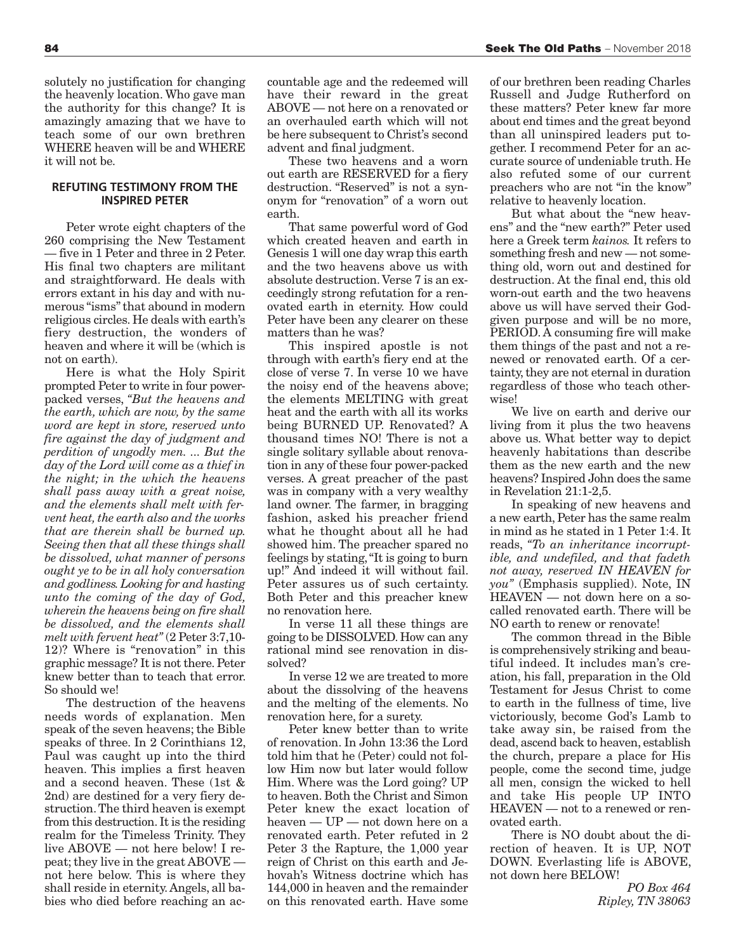solutely no justification for changing the heavenly location. Who gave man the authority for this change? It is amazingly amazing that we have to teach some of our own brethren WHERE heaven will be and WHERE it will not be.

#### **REFUTING TESTIMONY FROM THE INSPIRED PETER**

Peter wrote eight chapters of the 260 comprising the New Testament — five in 1 Peter and three in 2 Peter. His final two chapters are militant and straightforward. He deals with errors extant in his day and with numerous "isms" that abound in modern religious circles. He deals with earth's fiery destruction, the wonders of heaven and where it will be (which is not on earth).

Here is what the Holy Spirit prompted Peter to write in four powerpacked verses, *"But the heavens and the earth, which are now, by the same word are kept in store, reserved unto fire against the day of judgment and perdition of ungodly men. ... But the day of the Lord will come as a thief in the night; in the which the heavens shall pass away with a great noise, and the elements shall melt with fervent heat, the earth also and the works that are therein shall be burned up. Seeing then that all these things shall be dissolved, what manner of persons ought ye to be in all holy conversation and godliness. Looking for and hasting unto the coming of the day of God, wherein the heavens being on fire shall be dissolved, and the elements shall melt with fervent heat"* (2 Peter 3:7,10- 12)? Where is "renovation" in this graphic message? It is not there. Peter knew better than to teach that error. So should we!

The destruction of the heavens needs words of explanation. Men speak of the seven heavens; the Bible speaks of three. In 2 Corinthians 12, Paul was caught up into the third heaven. This implies a first heaven and a second heaven. These (1st & 2nd) are destined for a very fiery destruction. The third heaven is exempt from this destruction. It is the residing realm for the Timeless Trinity. They live ABOVE — not here below! I repeat; they live in the great ABOVE not here below. This is where they shall reside in eternity. Angels, all babies who died before reaching an accountable age and the redeemed will have their reward in the great ABOVE — not here on a renovated or an overhauled earth which will not be here subsequent to Christ's second advent and final judgment.

These two heavens and a worn out earth are RESERVED for a fiery destruction. "Reserved" is not a synonym for "renovation" of a worn out earth.

That same powerful word of God which created heaven and earth in Genesis 1 will one day wrap this earth and the two heavens above us with absolute destruction. Verse 7 is an exceedingly strong refutation for a renovated earth in eternity. How could Peter have been any clearer on these matters than he was?

This inspired apostle is not through with earth's fiery end at the close of verse 7. In verse 10 we have the noisy end of the heavens above; the elements MELTING with great heat and the earth with all its works being BURNED UP. Renovated? A thousand times NO! There is not a single solitary syllable about renovation in any of these four power-packed verses. A great preacher of the past was in company with a very wealthy land owner. The farmer, in bragging fashion, asked his preacher friend what he thought about all he had showed him. The preacher spared no feelings by stating, "It is going to burn up!" And indeed it will without fail. Peter assures us of such certainty. Both Peter and this preacher knew no renovation here.

In verse 11 all these things are going to be DISSOLVED. How can any rational mind see renovation in dissolved?

In verse 12 we are treated to more about the dissolving of the heavens and the melting of the elements. No renovation here, for a surety.

Peter knew better than to write of renovation. In John 13:36 the Lord told him that he (Peter) could not follow Him now but later would follow Him. Where was the Lord going? UP to heaven. Both the Christ and Simon Peter knew the exact location of heaven — UP — not down here on a renovated earth. Peter refuted in 2 Peter 3 the Rapture, the 1,000 year reign of Christ on this earth and Jehovah's Witness doctrine which has 144,000 in heaven and the remainder on this renovated earth. Have some

of our brethren been reading Charles Russell and Judge Rutherford on these matters? Peter knew far more about end times and the great beyond than all uninspired leaders put together. I recommend Peter for an accurate source of undeniable truth. He also refuted some of our current preachers who are not "in the know" relative to heavenly location.

But what about the "new heavens" and the "new earth?" Peter used here a Greek term *kainos.* It refers to something fresh and new — not something old, worn out and destined for destruction. At the final end, this old worn-out earth and the two heavens above us will have served their Godgiven purpose and will be no more, PERIOD. A consuming fire will make them things of the past and not a renewed or renovated earth. Of a certainty, they are not eternal in duration regardless of those who teach otherwise!

We live on earth and derive our living from it plus the two heavens above us. What better way to depict heavenly habitations than describe them as the new earth and the new heavens? Inspired John does the same in Revelation 21:1-2,5.

In speaking of new heavens and a new earth, Peter has the same realm in mind as he stated in 1 Peter 1:4. It reads, *"To an inheritance incorruptible, and undefiled, and that fadeth not away, reserved IN HEAVEN for you"* (Emphasis supplied). Note, IN HEAVEN — not down here on a socalled renovated earth. There will be NO earth to renew or renovate!

The common thread in the Bible is comprehensively striking and beautiful indeed. It includes man's creation, his fall, preparation in the Old Testament for Jesus Christ to come to earth in the fullness of time, live victoriously, become God's Lamb to take away sin, be raised from the dead, ascend back to heaven, establish the church, prepare a place for His people, come the second time, judge all men, consign the wicked to hell and take His people UP INTO HEAVEN — not to a renewed or renovated earth.

There is NO doubt about the direction of heaven. It is UP, NOT DOWN. Everlasting life is ABOVE, not down here BELOW!

> *PO Box 464 Ripley, TN 38063*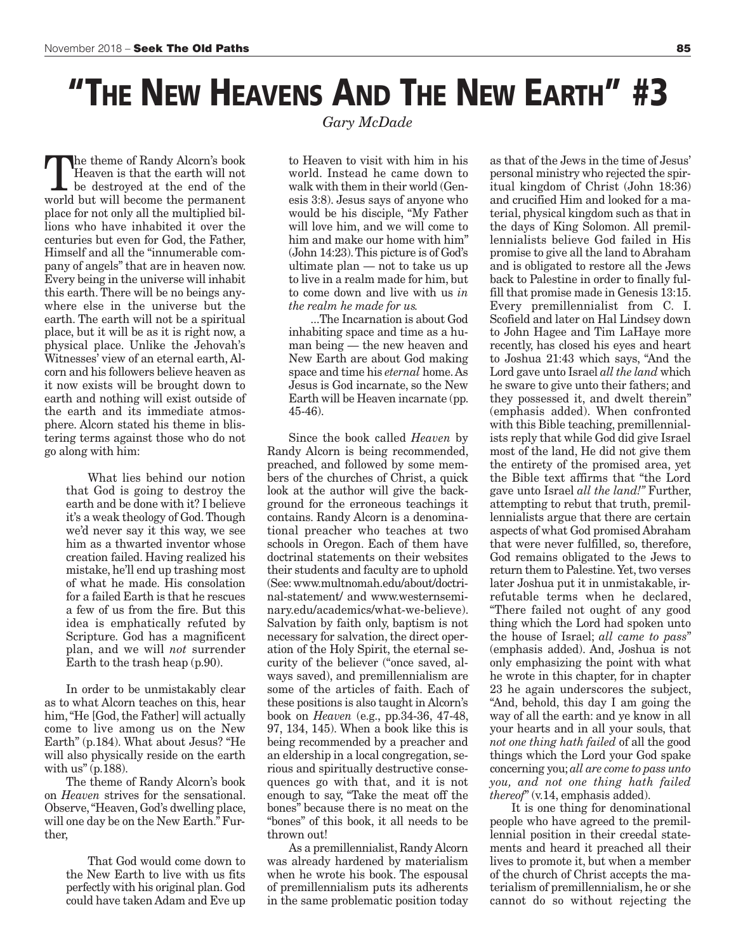### **"THE NEW HEAVENS AND THE NEW EARTH" #3**

*Gary McDade*

The theme of Randy Alcorn's book Heaven is that the earth will not be destroyed at the end of the world but will become the permanent place for not only all the multiplied billions who have inhabited it over the centuries but even for God, the Father, Himself and all the "innumerable company of angels" that are in heaven now. Every being in the universe will inhabit this earth. There will be no beings anywhere else in the universe but the earth. The earth will not be a spiritual place, but it will be as it is right now, a physical place. Unlike the Jehovah's Witnesses' view of an eternal earth, Alcorn and his followers believe heaven as it now exists will be brought down to earth and nothing will exist outside of the earth and its immediate atmosphere. Alcorn stated his theme in blistering terms against those who do not go along with him:

> What lies behind our notion that God is going to destroy the earth and be done with it? I believe it's a weak theology of God. Though we'd never say it this way, we see him as a thwarted inventor whose creation failed. Having realized his mistake, he'll end up trashing most of what he made. His consolation for a failed Earth is that he rescues a few of us from the fire. But this idea is emphatically refuted by Scripture. God has a magnificent plan, and we will *not* surrender Earth to the trash heap (p.90).

In order to be unmistakably clear as to what Alcorn teaches on this, hear him, "He [God, the Father] will actually come to live among us on the New Earth" (p.184). What about Jesus? "He will also physically reside on the earth with us"  $(p.188)$ .

The theme of Randy Alcorn's book on *Heaven* strives for the sensational. Observe, "Heaven, God's dwelling place, will one day be on the New Earth." Further,

> That God would come down to the New Earth to live with us fits perfectly with his original plan. God could have taken Adam and Eve up

to Heaven to visit with him in his world. Instead he came down to walk with them in their world (Genesis 3:8). Jesus says of anyone who would be his disciple, "My Father will love him, and we will come to him and make our home with him" (John 14:23). This picture is of God's ultimate plan — not to take us up to live in a realm made for him, but to come down and live with us *in the realm he made for us.*

...The Incarnation is about God inhabiting space and time as a human being — the new heaven and New Earth are about God making space and time his *eternal* home. As Jesus is God incarnate, so the New Earth will be Heaven incarnate (pp. 45-46).

Since the book called *Heaven* by Randy Alcorn is being recommended, preached, and followed by some members of the churches of Christ, a quick look at the author will give the background for the erroneous teachings it contains. Randy Alcorn is a denominational preacher who teaches at two schools in Oregon. Each of them have doctrinal statements on their websites their students and faculty are to uphold (See: www.multnomah.edu/about/doctrinal-statement/ and www.westernseminary.edu/academics/what-we-believe). Salvation by faith only, baptism is not necessary for salvation, the direct operation of the Holy Spirit, the eternal security of the believer ("once saved, always saved), and premillennialism are some of the articles of faith. Each of these positions is also taught in Alcorn's book on *Heaven* (e.g., pp.34-36, 47-48, 97, 134, 145). When a book like this is being recommended by a preacher and an eldership in a local congregation, serious and spiritually destructive consequences go with that, and it is not enough to say, "Take the meat off the bones" because there is no meat on the "bones" of this book, it all needs to be thrown out!

As a premillennialist, Randy Alcorn was already hardened by materialism when he wrote his book. The espousal of premillennialism puts its adherents in the same problematic position today

as that of the Jews in the time of Jesus' personal ministry who rejected the spiritual kingdom of Christ (John 18:36) and crucified Him and looked for a material, physical kingdom such as that in the days of King Solomon. All premillennialists believe God failed in His promise to give all the land to Abraham and is obligated to restore all the Jews back to Palestine in order to finally fulfill that promise made in Genesis 13:15. Every premillennialist from C. I. Scofield and later on Hal Lindsey down to John Hagee and Tim LaHaye more recently, has closed his eyes and heart to Joshua 21:43 which says, "And the Lord gave unto Israel *all the land* which he sware to give unto their fathers; and they possessed it, and dwelt therein" (emphasis added). When confronted with this Bible teaching, premillennialists reply that while God did give Israel most of the land, He did not give them the entirety of the promised area, yet the Bible text affirms that "the Lord gave unto Israel *all the land!"* Further, attempting to rebut that truth, premillennialists argue that there are certain aspects of what God promised Abraham that were never fulfilled, so, therefore, God remains obligated to the Jews to return them to Palestine. Yet, two verses later Joshua put it in unmistakable, irrefutable terms when he declared, "There failed not ought of any good thing which the Lord had spoken unto the house of Israel; *all came to pass*" (emphasis added). And, Joshua is not only emphasizing the point with what he wrote in this chapter, for in chapter 23 he again underscores the subject, "And, behold, this day I am going the way of all the earth: and ye know in all your hearts and in all your souls, that *not one thing hath failed* of all the good things which the Lord your God spake concerning you; *all are come to pass unto you, and not one thing hath failed thereof*" (v.14, emphasis added).

It is one thing for denominational people who have agreed to the premillennial position in their creedal statements and heard it preached all their lives to promote it, but when a member of the church of Christ accepts the materialism of premillennialism, he or she cannot do so without rejecting the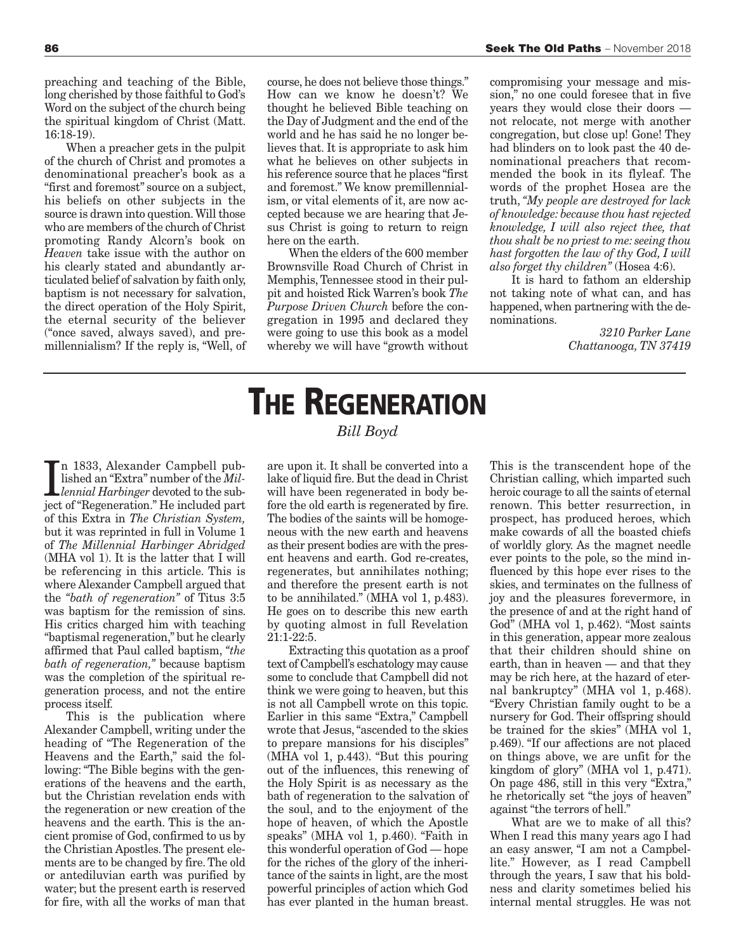preaching and teaching of the Bible, long cherished by those faithful to God's Word on the subject of the church being the spiritual kingdom of Christ (Matt. 16:18-19).

When a preacher gets in the pulpit of the church of Christ and promotes a denominational preacher's book as a "first and foremost" source on a subject, his beliefs on other subjects in the source is drawn into question. Will those who are members of the church of Christ promoting Randy Alcorn's book on *Heaven* take issue with the author on his clearly stated and abundantly articulated belief of salvation by faith only, baptism is not necessary for salvation, the direct operation of the Holy Spirit, the eternal security of the believer ("once saved, always saved), and premillennialism? If the reply is, "Well, of course, he does not believe those things." How can we know he doesn't? We thought he believed Bible teaching on the Day of Judgment and the end of the world and he has said he no longer believes that. It is appropriate to ask him what he believes on other subjects in his reference source that he places "first and foremost." We know premillennialism, or vital elements of it, are now accepted because we are hearing that Jesus Christ is going to return to reign here on the earth.

When the elders of the 600 member Brownsville Road Church of Christ in Memphis, Tennessee stood in their pulpit and hoisted Rick Warren's book *The Purpose Driven Church* before the congregation in 1995 and declared they were going to use this book as a model whereby we will have "growth without

compromising your message and mission," no one could foresee that in five years they would close their doors not relocate, not merge with another congregation, but close up! Gone! They had blinders on to look past the 40 denominational preachers that recommended the book in its flyleaf. The words of the prophet Hosea are the truth, *"My people are destroyed for lack of knowledge: because thou hast rejected knowledge, I will also reject thee, that thou shalt be no priest to me: seeing thou hast forgotten the law of thy God, I will also forget thy children"* (Hosea 4:6).

It is hard to fathom an eldership not taking note of what can, and has happened, when partnering with the denominations.

> *3210 Parker Lane Chattanooga, TN 37419*

In 1833, Alexander Campbell pub-<br>lished an "Extra" number of the *Mill-*<br>*lennial Harbinger* devoted to the sub-<br>jost of "Bogonoration". He included part n 1833, Alexander Campbell published an "Extra" number of the *Mil*ject of "Regeneration." He included part of this Extra in *The Christian System,* but it was reprinted in full in Volume 1 of *The Millennial Harbinger Abridged* (MHA vol 1). It is the latter that I will be referencing in this article. This is where Alexander Campbell argued that the *"bath of regeneration"* of Titus 3:5 was baptism for the remission of sins. His critics charged him with teaching "baptismal regeneration," but he clearly affirmed that Paul called baptism, *"the bath of regeneration,"* because baptism was the completion of the spiritual regeneration process, and not the entire process itself.

This is the publication where Alexander Campbell, writing under the heading of "The Regeneration of the Heavens and the Earth," said the following: "The Bible begins with the generations of the heavens and the earth, but the Christian revelation ends with the regeneration or new creation of the heavens and the earth. This is the ancient promise of God, confirmed to us by the Christian Apostles. The present elements are to be changed by fire. The old or antediluvian earth was purified by water; but the present earth is reserved for fire, with all the works of man that

### **THE REGENERATION** *Bill Boyd*

are upon it. It shall be converted into a lake of liquid fire. But the dead in Christ will have been regenerated in body before the old earth is regenerated by fire. The bodies of the saints will be homogeneous with the new earth and heavens as their present bodies are with the present heavens and earth. God re-creates, regenerates, but annihilates nothing; and therefore the present earth is not to be annihilated." (MHA vol 1, p.483). He goes on to describe this new earth by quoting almost in full Revelation 21:1-22:5.

Extracting this quotation as a proof text of Campbell's eschatology may cause some to conclude that Campbell did not think we were going to heaven, but this is not all Campbell wrote on this topic. Earlier in this same "Extra," Campbell wrote that Jesus, "ascended to the skies to prepare mansions for his disciples" (MHA vol 1, p.443). "But this pouring out of the influences, this renewing of the Holy Spirit is as necessary as the bath of regeneration to the salvation of the soul, and to the enjoyment of the hope of heaven, of which the Apostle speaks" (MHA vol 1, p.460). "Faith in this wonderful operation of God — hope for the riches of the glory of the inheritance of the saints in light, are the most powerful principles of action which God has ever planted in the human breast.

This is the transcendent hope of the Christian calling, which imparted such heroic courage to all the saints of eternal renown. This better resurrection, in prospect, has produced heroes, which make cowards of all the boasted chiefs of worldly glory. As the magnet needle ever points to the pole, so the mind influenced by this hope ever rises to the skies, and terminates on the fullness of joy and the pleasures forevermore, in the presence of and at the right hand of God" (MHA vol 1, p.462). "Most saints in this generation, appear more zealous that their children should shine on earth, than in heaven — and that they may be rich here, at the hazard of eternal bankruptcy" (MHA vol 1, p.468). "Every Christian family ought to be a nursery for God. Their offspring should be trained for the skies" (MHA vol 1, p.469). "If our affections are not placed on things above, we are unfit for the kingdom of glory" (MHA vol 1, p.471). On page 486, still in this very "Extra," he rhetorically set "the joys of heaven" against "the terrors of hell."

What are we to make of all this? When I read this many years ago I had an easy answer, "I am not a Campbellite." However, as I read Campbell through the years, I saw that his boldness and clarity sometimes belied his internal mental struggles. He was not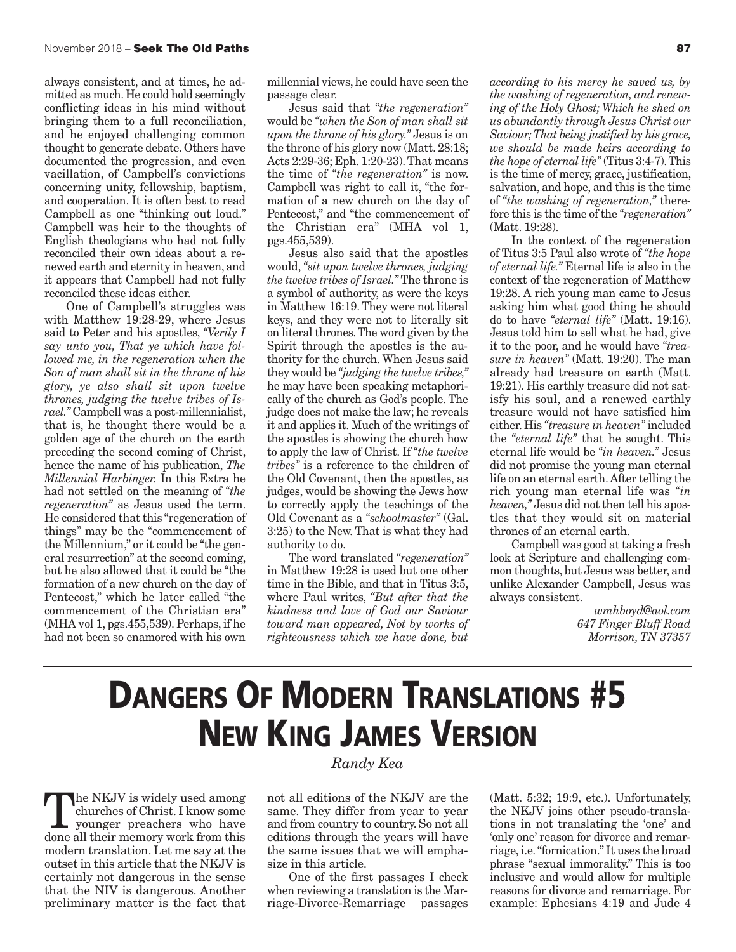always consistent, and at times, he admitted as much. He could hold seemingly conflicting ideas in his mind without bringing them to a full reconciliation, and he enjoyed challenging common thought to generate debate. Others have documented the progression, and even vacillation, of Campbell's convictions concerning unity, fellowship, baptism, and cooperation. It is often best to read Campbell as one "thinking out loud." Campbell was heir to the thoughts of English theologians who had not fully reconciled their own ideas about a renewed earth and eternity in heaven, and it appears that Campbell had not fully reconciled these ideas either.

One of Campbell's struggles was with Matthew 19:28-29, where Jesus said to Peter and his apostles, *"Verily I say unto you, That ye which have followed me, in the regeneration when the Son of man shall sit in the throne of his glory, ye also shall sit upon twelve thrones, judging the twelve tribes of Israel."* Campbell was a post-millennialist, that is, he thought there would be a golden age of the church on the earth preceding the second coming of Christ, hence the name of his publication, *The Millennial Harbinger.* In this Extra he had not settled on the meaning of *"the regeneration"* as Jesus used the term. He considered that this "regeneration of things" may be the "commencement of the Millennium," or it could be "the general resurrection" at the second coming, but he also allowed that it could be "the formation of a new church on the day of Pentecost," which he later called "the commencement of the Christian era" (MHA vol 1, pgs.455,539). Perhaps, if he had not been so enamored with his own

millennial views, he could have seen the passage clear.

Jesus said that *"the regeneration"* would be *"when the Son of man shall sit upon the throne of his glory."* Jesus is on the throne of his glory now (Matt. 28:18; Acts 2:29-36; Eph. 1:20-23). That means the time of *"the regeneration"* is now. Campbell was right to call it, "the formation of a new church on the day of Pentecost," and "the commencement of the Christian era" (MHA vol 1, pgs.455,539).

Jesus also said that the apostles would, *"sit upon twelve thrones, judging the twelve tribes of Israel."* The throne is a symbol of authority, as were the keys in Matthew 16:19. They were not literal keys, and they were not to literally sit on literal thrones. The word given by the Spirit through the apostles is the authority for the church. When Jesus said they would be *"judging the twelve tribes,"* he may have been speaking metaphorically of the church as God's people. The judge does not make the law; he reveals it and applies it. Much of the writings of the apostles is showing the church how to apply the law of Christ. If *"the twelve tribes"* is a reference to the children of the Old Covenant, then the apostles, as judges, would be showing the Jews how to correctly apply the teachings of the Old Covenant as a *"schoolmaster"* (Gal. 3:25) to the New. That is what they had authority to do.

The word translated *"regeneration"* in Matthew 19:28 is used but one other time in the Bible, and that in Titus 3:5, where Paul writes, *"But after that the kindness and love of God our Saviour toward man appeared, Not by works of righteousness which we have done, but*

*according to his mercy he saved us, by the washing of regeneration, and renewing of the Holy Ghost; Which he shed on us abundantly through Jesus Christ our Saviour; That being justified by his grace, we should be made heirs according to the hope of eternal life"* (Titus 3:4-7). This is the time of mercy, grace, justification, salvation, and hope, and this is the time of *"the washing of regeneration,"* therefore this is the time of the *"regeneration"* (Matt. 19:28).

In the context of the regeneration of Titus 3:5 Paul also wrote of *"the hope of eternal life."* Eternal life is also in the context of the regeneration of Matthew 19:28. A rich young man came to Jesus asking him what good thing he should do to have *"eternal life"* (Matt. 19:16). Jesus told him to sell what he had, give it to the poor, and he would have *"treasure in heaven"* (Matt. 19:20). The man already had treasure on earth (Matt. 19:21). His earthly treasure did not satisfy his soul, and a renewed earthly treasure would not have satisfied him either. His *"treasure in heaven"* included the *"eternal life"* that he sought. This eternal life would be *"in heaven."* Jesus did not promise the young man eternal life on an eternal earth. After telling the rich young man eternal life was *"in heaven,"* Jesus did not then tell his apostles that they would sit on material thrones of an eternal earth.

Campbell was good at taking a fresh look at Scripture and challenging common thoughts, but Jesus was better, and unlike Alexander Campbell, Jesus was always consistent.

> *wmhboyd@aol.com 647 Finger Bluff Road Morrison, TN 37357*

## **DANGERS OF MODERN TRANSLATIONS #5 NEW KING JAMES VERSION**

The NKJV is widely used among<br>churches of Christ. I know some<br>younger preachers who have<br>done all their momeny work from this churches of Christ. I know some younger preachers who have done all their memory work from this modern translation. Let me say at the outset in this article that the NKJV is certainly not dangerous in the sense that the NIV is dangerous. Another preliminary matter is the fact that

#### *Randy Kea*

not all editions of the NKJV are the same. They differ from year to year and from country to country. So not all editions through the years will have the same issues that we will emphasize in this article.

One of the first passages I check when reviewing a translation is the Marriage-Divorce-Remarriage passages

(Matt. 5:32; 19:9, etc.). Unfortunately, the NKJV joins other pseudo-translations in not translating the 'one' and 'only one' reason for divorce and remarriage, i.e. "fornication." It uses the broad phrase "sexual immorality." This is too inclusive and would allow for multiple reasons for divorce and remarriage. For example: Ephesians 4:19 and Jude 4